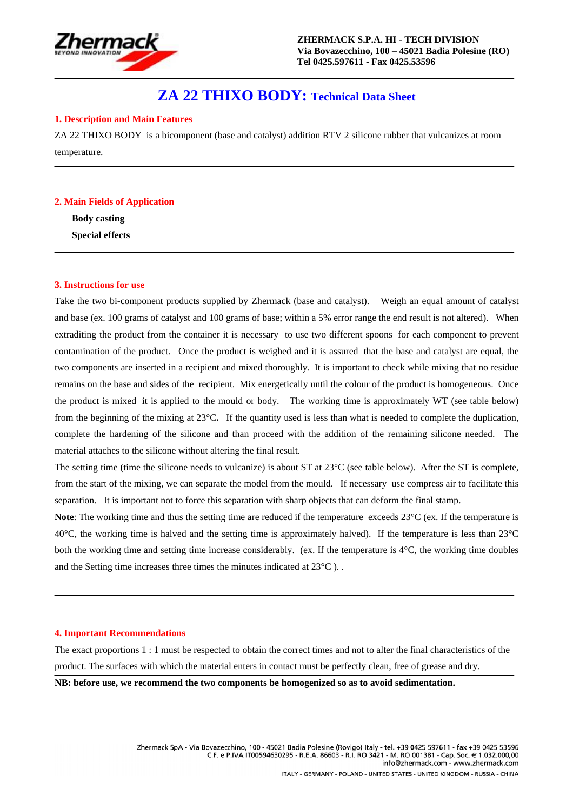

# **ZA 22 THIXO BODY: Technical Data Sheet**

## **1. Description and Main Features**

ZA 22 THIXO BODY is a bicomponent (base and catalyst) addition RTV 2 silicone rubber that vulcanizes at room temperature.

#### **2. Main Fields of Application**

**Body casting Special effects** 

#### **3. Instructions for use**

Take the two bi-component products supplied by Zhermack (base and catalyst). Weigh an equal amount of catalyst and base (ex. 100 grams of catalyst and 100 grams of base; within a 5% error range the end result is not altered). When extraditing the product from the container it is necessary to use two different spoons for each component to prevent contamination of the product. Once the product is weighed and it is assured that the base and catalyst are equal, the two components are inserted in a recipient and mixed thoroughly. It is important to check while mixing that no residue remains on the base and sides of the recipient. Mix energetically until the colour of the product is homogeneous. Once the product is mixed it is applied to the mould or body. The working time is approximately WT (see table below) from the beginning of the mixing at 23°C**.** If the quantity used is less than what is needed to complete the duplication, complete the hardening of the silicone and than proceed with the addition of the remaining silicone needed. The material attaches to the silicone without altering the final result.

The setting time (time the silicone needs to vulcanize) is about ST at 23<sup>°</sup>C (see table below). After the ST is complete, from the start of the mixing, we can separate the model from the mould. If necessary use compress air to facilitate this separation. It is important not to force this separation with sharp objects that can deform the final stamp.

**Note**: The working time and thus the setting time are reduced if the temperature exceeds 23<sup>o</sup>C (ex. If the temperature is  $40^{\circ}$ C, the working time is halved and the setting time is approximately halved). If the temperature is less than  $23^{\circ}$ C both the working time and setting time increase considerably. (ex. If the temperature is  $4^{\circ}$ C, the working time doubles and the Setting time increases three times the minutes indicated at 23°C ). .

#### **4. Important Recommendations**

The exact proportions 1 : 1 must be respected to obtain the correct times and not to alter the final characteristics of the product. The surfaces with which the material enters in contact must be perfectly clean, free of grease and dry. **NB: before use, we recommend the two components be homogenized so as to avoid sedimentation.**